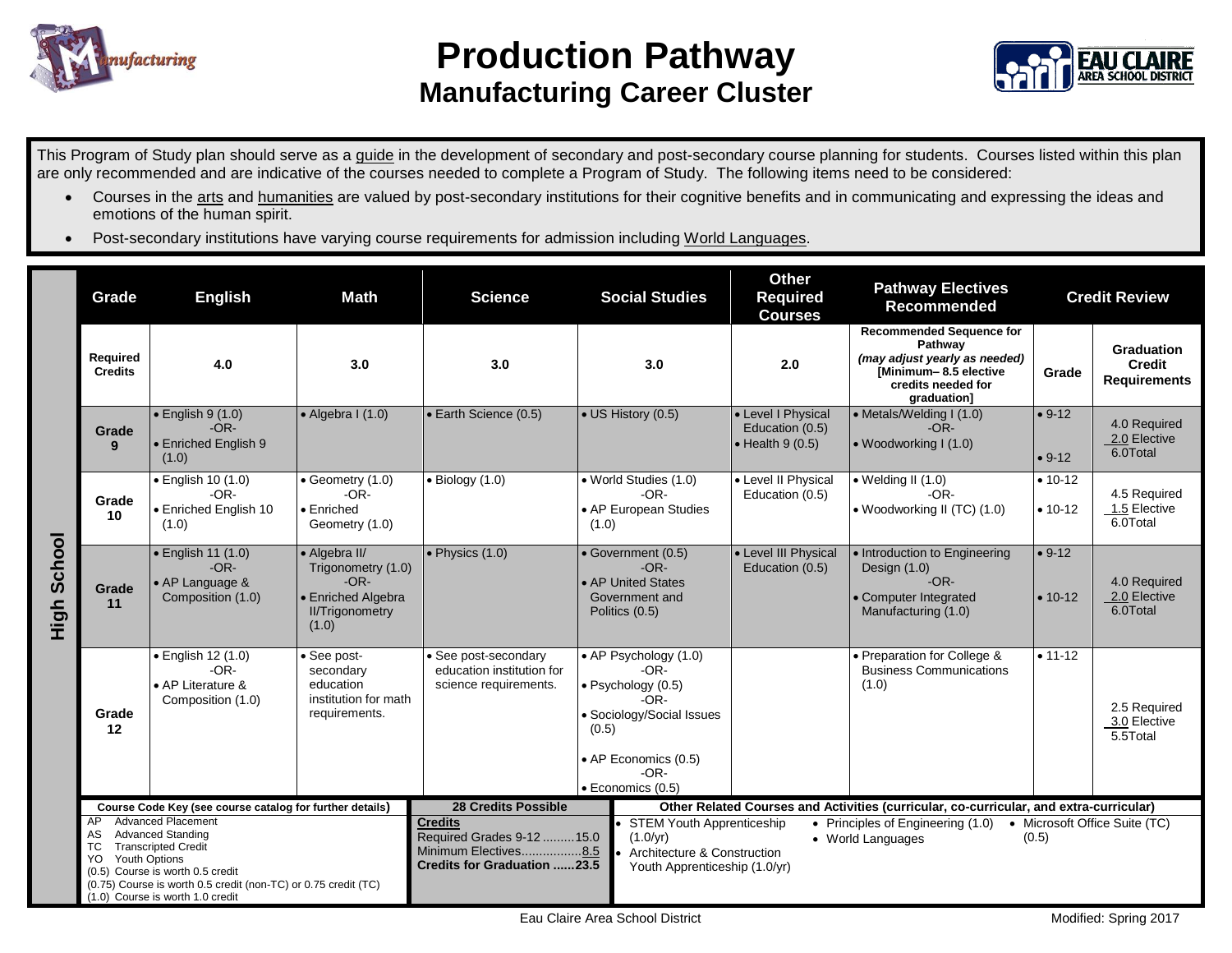

## **Production Pathway Manufacturing Career Cluster**



This Program of Study plan should serve as a guide in the development of secondary and post-secondary course planning for students. Courses listed within this plan are only recommended and are indicative of the courses needed to complete a Program of Study. The following items need to be considered:

- Courses in the arts and humanities are valued by post-secondary institutions for their cognitive benefits and in communicating and expressing the ideas and emotions of the human spirit.
- Post-secondary institutions have varying course requirements for admission including World Languages.

|                | Grade                                                                                                                                                                                                                                      | <b>English</b>                                                               | <b>Math</b>                                                                                            | <b>Science</b>                                                                                                                                                                                         | <b>Social Studies</b>                                                                                                                                                                            | <b>Other</b><br><b>Required</b><br><b>Courses</b>                 | <b>Pathway Electives</b><br>Recommended                                                                                                   |                        | <b>Credit Review</b>                                      |
|----------------|--------------------------------------------------------------------------------------------------------------------------------------------------------------------------------------------------------------------------------------------|------------------------------------------------------------------------------|--------------------------------------------------------------------------------------------------------|--------------------------------------------------------------------------------------------------------------------------------------------------------------------------------------------------------|--------------------------------------------------------------------------------------------------------------------------------------------------------------------------------------------------|-------------------------------------------------------------------|-------------------------------------------------------------------------------------------------------------------------------------------|------------------------|-----------------------------------------------------------|
| School<br>High | Required<br><b>Credits</b>                                                                                                                                                                                                                 | 4.0                                                                          | 3.0                                                                                                    | 3.0                                                                                                                                                                                                    | 3.0                                                                                                                                                                                              | 2.0                                                               | <b>Recommended Sequence for</b><br>Pathway<br>(may adjust yearly as needed)<br>[Minimum-8.5 elective<br>credits needed for<br>araduation1 | Grade                  | <b>Graduation</b><br><b>Credit</b><br><b>Requirements</b> |
|                | Grade<br>9                                                                                                                                                                                                                                 | $\bullet$ English 9 (1.0)<br>$-OR-$<br>• Enriched English 9<br>(1.0)         | $\bullet$ Algebra I (1.0)                                                                              | · Earth Science (0.5)                                                                                                                                                                                  | • US History (0.5)                                                                                                                                                                               | • Level I Physical<br>Education (0.5)<br>$\bullet$ Health 9 (0.5) | • Metals/Welding I (1.0)<br>$-OR-$<br>• Woodworking I (1.0)                                                                               | $• 9-12$<br>$• 9-12$   | 4.0 Required<br>2.0 Elective<br>6.0Total                  |
|                | Grade<br>10                                                                                                                                                                                                                                | · English 10 (1.0)<br>$-OR-$<br>• Enriched English 10<br>(1.0)               | $\bullet$ Geometry (1.0)<br>$-OR-$<br>$\bullet$ Enriched<br>Geometry (1.0)                             | $\bullet$ Biology (1.0)                                                                                                                                                                                | • World Studies (1.0)<br>$-OR-$<br>• AP European Studies<br>(1.0)                                                                                                                                | • Level II Physical<br>Education (0.5)                            | $\bullet$ Welding II (1.0)<br>$-OR-$<br>• Woodworking II (TC) (1.0)                                                                       | $• 10-12$<br>$• 10-12$ | 4.5 Required<br>1.5 Elective<br>6.0Total                  |
|                | Grade<br>11                                                                                                                                                                                                                                | $\bullet$ English 11 (1.0)<br>$-OR-$<br>• AP Language &<br>Composition (1.0) | • Algebra II/<br>Trigonometry (1.0)<br>$-OR-$<br>• Enriched Algebra<br><b>II/Trigonometry</b><br>(1.0) | $\bullet$ Physics (1.0)                                                                                                                                                                                | • Government (0.5)<br>$-OR-$<br>• AP United States<br>Government and<br>Politics (0.5)                                                                                                           | • Level III Physical<br>Education (0.5)                           | • Introduction to Engineering<br>Design (1.0)<br>$-OR-$<br>• Computer Integrated<br>Manufacturing (1.0)                                   | $• 9-12$<br>$• 10-12$  | 4.0 Required<br>2.0 Elective<br>6.0Total                  |
|                | Grade<br>12                                                                                                                                                                                                                                | · English 12 (1.0)<br>$-OR-$<br>• AP Literature &<br>Composition (1.0)       | • See post-<br>secondary<br>education<br>institution for math<br>requirements.                         | • See post-secondary<br>education institution for<br>science requirements.                                                                                                                             | • AP Psychology (1.0)<br>$-OR-$<br>$\bullet$ Psychology (0.5)<br>-OR-<br>• Sociology/Social Issues<br>(0.5)<br>• AP Economics (0.5)<br>$-OR-$<br>· Economics (0.5)                               |                                                                   | • Preparation for College &<br><b>Business Communications</b><br>(1.0)                                                                    | $• 11 - 12$            | 2.5 Required<br>3.0 Elective<br>5.5Total                  |
|                | Course Code Key (see course catalog for further details)<br><b>Advanced Placement</b><br>AP                                                                                                                                                |                                                                              |                                                                                                        | <b>28 Credits Possible</b><br><b>Credits</b>                                                                                                                                                           | Other Related Courses and Activities (curricular, co-curricular, and extra-curricular)<br>• Microsoft Office Suite (TC)<br><b>STEM Youth Apprenticeship</b><br>• Principles of Engineering (1.0) |                                                                   |                                                                                                                                           |                        |                                                           |
|                | <b>Advanced Standing</b><br>AS<br>ТC<br><b>Transcripted Credit</b><br><b>Youth Options</b><br>YO<br>(0.5) Course is worth 0.5 credit<br>(0.75) Course is worth 0.5 credit (non-TC) or 0.75 credit (TC)<br>(1.0) Course is worth 1.0 credit |                                                                              |                                                                                                        | Required Grades 9-12 15.0<br>$(1.0/\nu r)$<br>(0.5)<br>• World Languages<br>Minimum Electives8.5<br>Architecture & Construction<br><b>Credits for Graduation 23.5</b><br>Youth Apprenticeship (1.0/yr) |                                                                                                                                                                                                  |                                                                   |                                                                                                                                           |                        |                                                           |